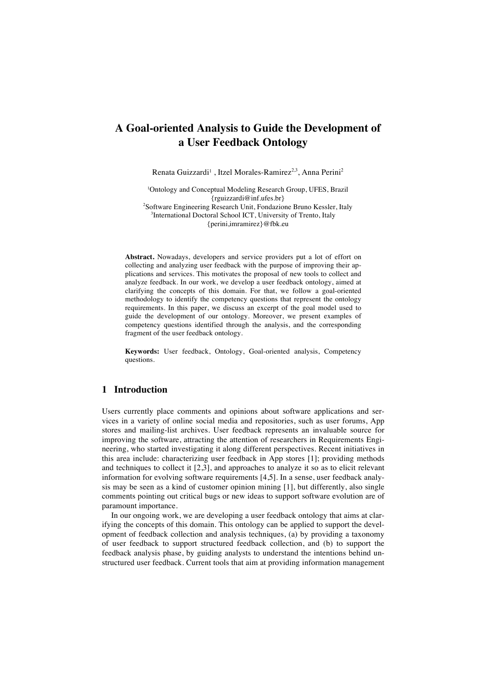# **A Goal-oriented Analysis to Guide the Development of a User Feedback Ontology**

Renata Guizzardi<sup>1</sup>, Itzel Morales-Ramirez<sup>2,3</sup>, Anna Perini<sup>2</sup>

1 Ontology and Conceptual Modeling Research Group, UFES, Brazil {rguizzardi@inf.ufes.br} <sup>2</sup>Software Engineering Research Unit, Fondazione Bruno Kessler, Italy 3 International Doctoral School ICT, University of Trento, Italy {perini,imramirez}@fbk.eu

**Abstract.** Nowadays, developers and service providers put a lot of effort on collecting and analyzing user feedback with the purpose of improving their applications and services. This motivates the proposal of new tools to collect and analyze feedback. In our work, we develop a user feedback ontology, aimed at clarifying the concepts of this domain. For that, we follow a goal-oriented methodology to identify the competency questions that represent the ontology requirements. In this paper, we discuss an excerpt of the goal model used to guide the development of our ontology. Moreover, we present examples of competency questions identified through the analysis, and the corresponding fragment of the user feedback ontology.

**Keywords:** User feedback, Ontology, Goal-oriented analysis, Competency questions.

### **1 Introduction**

Users currently place comments and opinions about software applications and services in a variety of online social media and repositories, such as user forums, App stores and mailing-list archives. User feedback represents an invaluable source for improving the software, attracting the attention of researchers in Requirements Engineering, who started investigating it along different perspectives. Recent initiatives in this area include: characterizing user feedback in App stores [1]; providing methods and techniques to collect it [2,3], and approaches to analyze it so as to elicit relevant information for evolving software requirements [4,5]. In a sense, user feedback analysis may be seen as a kind of customer opinion mining [1], but differently, also single comments pointing out critical bugs or new ideas to support software evolution are of paramount importance.

In our ongoing work, we are developing a user feedback ontology that aims at clarifying the concepts of this domain. This ontology can be applied to support the development of feedback collection and analysis techniques, (a) by providing a taxonomy of user feedback to support structured feedback collection, and (b) to support the feedback analysis phase, by guiding analysts to understand the intentions behind unstructured user feedback. Current tools that aim at providing information management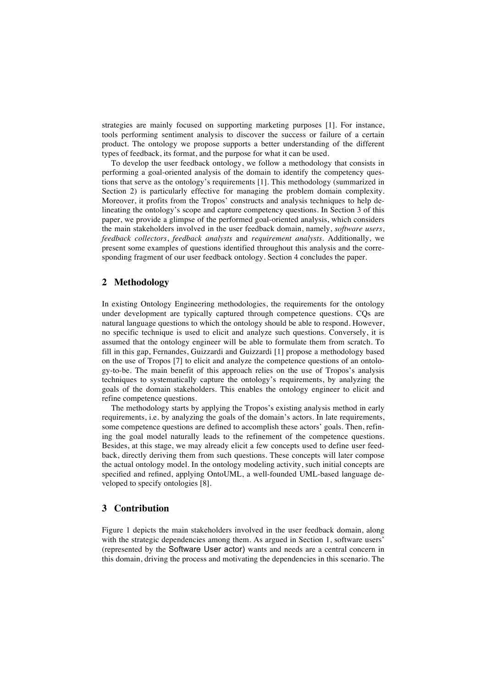strategies are mainly focused on supporting marketing purposes [1]. For instance, tools performing sentiment analysis to discover the success or failure of a certain product. The ontology we propose supports a better understanding of the different types of feedback, its format, and the purpose for what it can be used.

To develop the user feedback ontology, we follow a methodology that consists in performing a goal-oriented analysis of the domain to identify the competency questions that serve as the ontology's requirements [1]. This methodology (summarized in Section 2) is particularly effective for managing the problem domain complexity. Moreover, it profits from the Tropos' constructs and analysis techniques to help delineating the ontology's scope and capture competency questions. In Section 3 of this paper, we provide a glimpse of the performed goal-oriented analysis, which considers the main stakeholders involved in the user feedback domain, namely, *software users*, *feedback collectors*, *feedback analysts* and *requirement analysts*. Additionally, we present some examples of questions identified throughout this analysis and the corresponding fragment of our user feedback ontology. Section 4 concludes the paper.

## **2 Methodology**

In existing Ontology Engineering methodologies, the requirements for the ontology under development are typically captured through competence questions. CQs are natural language questions to which the ontology should be able to respond. However, no specific technique is used to elicit and analyze such questions. Conversely, it is assumed that the ontology engineer will be able to formulate them from scratch. To fill in this gap, Fernandes, Guizzardi and Guizzardi [1] propose a methodology based on the use of Tropos [7] to elicit and analyze the competence questions of an ontology-to-be. The main benefit of this approach relies on the use of Tropos's analysis techniques to systematically capture the ontology's requirements, by analyzing the goals of the domain stakeholders. This enables the ontology engineer to elicit and refine competence questions.

The methodology starts by applying the Tropos's existing analysis method in early requirements, i.e. by analyzing the goals of the domain's actors. In late requirements, some competence questions are defined to accomplish these actors' goals. Then, refining the goal model naturally leads to the refinement of the competence questions. Besides, at this stage, we may already elicit a few concepts used to define user feedback, directly deriving them from such questions. These concepts will later compose the actual ontology model. In the ontology modeling activity, such initial concepts are specified and refined, applying OntoUML, a well-founded UML-based language developed to specify ontologies [8].

#### **3 Contribution**

Figure 1 depicts the main stakeholders involved in the user feedback domain, along with the strategic dependencies among them. As argued in Section 1, software users' (represented by the Software User actor) wants and needs are a central concern in this domain, driving the process and motivating the dependencies in this scenario. The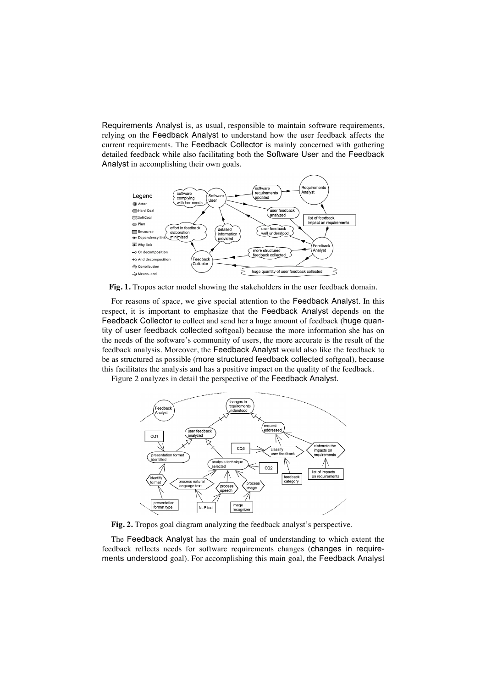Requirements Analyst is, as usual, responsible to maintain software requirements, relying on the Feedback Analyst to understand how the user feedback affects the current requirements. The Feedback Collector is mainly concerned with gathering detailed feedback while also facilitating both the Software User and the Feedback Analyst in accomplishing their own goals.



**Fig. 1.** Tropos actor model showing the stakeholders in the user feedback domain.

For reasons of space, we give special attention to the Feedback Analyst. In this respect, it is important to emphasize that the Feedback Analyst depends on the Feedback Collector to collect and send her a huge amount of feedback (huge quantity of user feedback collected softgoal) because the more information she has on the needs of the software's community of users, the more accurate is the result of the feedback analysis. Moreover, the Feedback Analyst would also like the feedback to be as structured as possible (more structured feedback collected softgoal), because this facilitates the analysis and has a positive impact on the quality of the feedback.

Figure 2 analyzes in detail the perspective of the Feedback Analyst.



**Fig. 2.** Tropos goal diagram analyzing the feedback analyst's perspective.

The Feedback Analyst has the main goal of understanding to which extent the feedback reflects needs for software requirements changes (changes in requirements understood goal). For accomplishing this main goal, the Feedback Analyst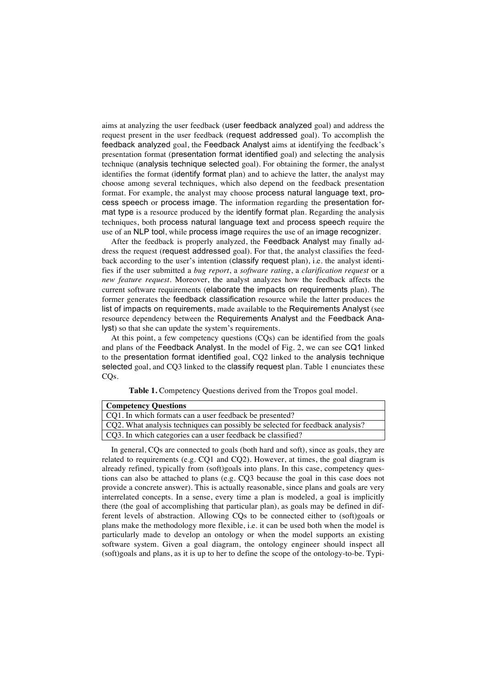aims at analyzing the user feedback (user feedback analyzed goal) and address the request present in the user feedback (request addressed goal). To accomplish the feedback analyzed goal, the Feedback Analyst aims at identifying the feedback's presentation format (presentation format identified goal) and selecting the analysis technique (analysis technique selected goal). For obtaining the former, the analyst identifies the format (identify format plan) and to achieve the latter, the analyst may choose among several techniques, which also depend on the feedback presentation format. For example, the analyst may choose process natural language text, process speech or process image. The information regarding the presentation format type is a resource produced by the identify format plan. Regarding the analysis techniques, both process natural language text and process speech require the use of an NLP tool, while process image requires the use of an image recognizer.

After the feedback is properly analyzed, the Feedback Analyst may finally address the request (request addressed goal). For that, the analyst classifies the feedback according to the user's intention (classify request plan), i.e. the analyst identifies if the user submitted a *bug report*, a *software rating*, a *clarification request* or a *new feature request*. Moreover, the analyst analyzes how the feedback affects the current software requirements (elaborate the impacts on requirements plan). The former generates the feedback classification resource while the latter produces the list of impacts on requirements, made available to the Requirements Analyst (see resource dependency between the Requirements Analyst and the Feedback Analyst) so that she can update the system's requirements.

At this point, a few competency questions (CQs) can be identified from the goals and plans of the Feedback Analyst. In the model of Fig. 2, we can see CQ1 linked to the presentation format identified goal, CQ2 linked to the analysis technique selected goal, and CQ3 linked to the classify request plan. Table 1 enunciates these CQs.

| <b>Competency Questions</b>                             |
|---------------------------------------------------------|
| CQ1. In which formats can a user feedback be presented? |

CQ2. What analysis techniques can possibly be selected for feedback analysis?

CQ3. In which categories can a user feedback be classified?

|  | Table 1. Competency Questions derived from the Tropos goal model. |  |
|--|-------------------------------------------------------------------|--|
|--|-------------------------------------------------------------------|--|

In general, CQs are connected to goals (both hard and soft), since as goals, they are related to requirements (e.g. CQ1 and CQ2). However, at times, the goal diagram is already refined, typically from (soft)goals into plans. In this case, competency questions can also be attached to plans (e.g. CQ3 because the goal in this case does not provide a concrete answer). This is actually reasonable, since plans and goals are very interrelated concepts. In a sense, every time a plan is modeled, a goal is implicitly there (the goal of accomplishing that particular plan), as goals may be defined in different levels of abstraction. Allowing CQs to be connected either to (soft)goals or plans make the methodology more flexible, i.e. it can be used both when the model is particularly made to develop an ontology or when the model supports an existing software system. Given a goal diagram, the ontology engineer should inspect all (soft)goals and plans, as it is up to her to define the scope of the ontology-to-be. Typi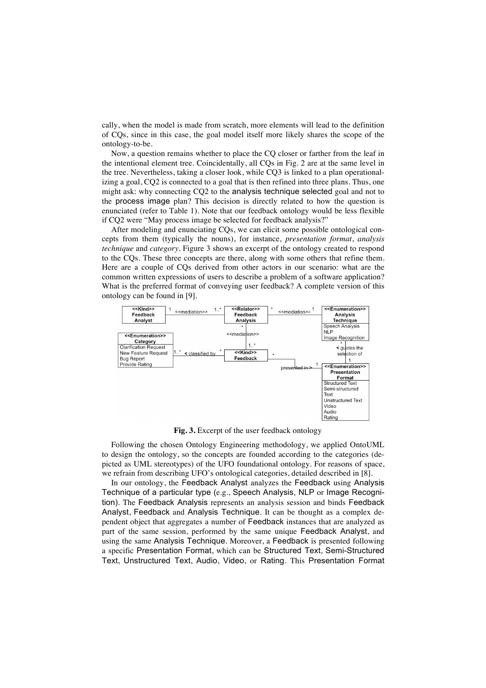cally, when the model is made from scratch, more elements will lead to the definition of CQs, since in this case, the goal model itself more likely shares the scope of the ontology-to-be.

Now, a question remains whether to place the CQ closer or farther from the leaf in the intentional element tree. Coincidentally, all CQs in Fig. 2 are at the same level in the tree. Nevertheless, taking a closer look, while CQ3 is linked to a plan operationalizing a goal, CQ2 is connected to a goal that is then refined into three plans. Thus, one might ask: why connecting CQ2 to the analysis technique selected goal and not to the process image plan? This decision is directly related to how the question is enunciated (refer to Table 1). Note that our feedback ontology would be less flexible if CQ2 were "May process image be selected for feedback analysis?"

After modeling and enunciating CQs, we can elicit some possible ontological concepts from them (typically the nouns), for instance, *presentation format*, *analysis technique* and *category*. Figure 3 shows an excerpt of the ontology created to respond to the CQs. These three concepts are there, along with some others that refine them. Here are a couple of CQs derived from other actors in our scenario: what are the common written expressions of users to describe a problem of a software application? What is the preferred format of conveying user feedback? A complete version of this ontology can be found in [9].



**Fig. 3.** Excerpt of the user feedback ontology

Following the chosen Ontology Engineering methodology, we applied OntoUML to design the ontology, so the concepts are founded according to the categories (depicted as UML stereotypes) of the UFO foundational ontology. For reasons of space, we refrain from describing UFO's ontological categories, detailed described in [8].

In our ontology, the Feedback Analyst analyzes the Feedback using Analysis Technique of a particular type (e.g., Speech Analysis, NLP or Image Recognition). The Feedback Analysis represents an analysis session and binds Feedback Analyst, Feedback and Analysis Technique. It can be thought as a complex dependent object that aggregates a number of Feedback instances that are analyzed as part of the same session, performed by the same unique Feedback Analyst, and using the same Analysis Technique. Moreover, a Feedback is presented following a specific Presentation Format, which can be Structured Text, Semi-Structured Text, Unstructured Text, Audio, Video, or Rating. This Presentation Format